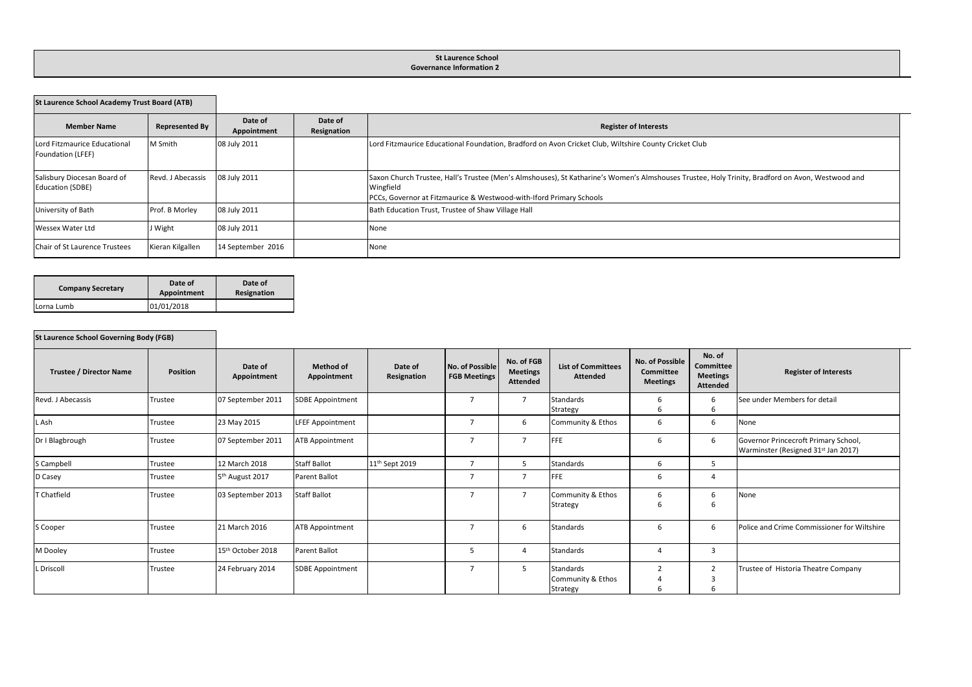## **St Laurence School Governance Information 2**

| <b>St Laurence School Academy Trust Board (ATB)</b>    |                       |                        |                        |                                                                                                                                                                                                                                      |
|--------------------------------------------------------|-----------------------|------------------------|------------------------|--------------------------------------------------------------------------------------------------------------------------------------------------------------------------------------------------------------------------------------|
| <b>Member Name</b>                                     | <b>Represented By</b> | Date of<br>Appointment | Date of<br>Resignation | <b>Register of Interests</b>                                                                                                                                                                                                         |
| Lord Fitzmaurice Educational<br>Foundation (LFEF)      | M Smith               | 08 July 2011           |                        | Lord Fitzmaurice Educational Foundation, Bradford on Avon Cricket Club, Wiltshire County Cricket Club                                                                                                                                |
| Salisbury Diocesan Board of<br><b>Education (SDBE)</b> | Revd. J Abecassis     | 08 July 2011           |                        | Saxon Church Trustee, Hall's Trustee (Men's Almshouses), St Katharine's Women's Almshouses Trustee, Holy Trinity, Bradford on Avon, Westwood and<br>Wingfield<br>PCCs, Governor at Fitzmaurice & Westwood-with-Iford Primary Schools |
| University of Bath                                     | Prof. B Morley        | 08 July 2011           |                        | Bath Education Trust, Trustee of Shaw Village Hall                                                                                                                                                                                   |
| Wessex Water Ltd                                       | J Wight               | 08 July 2011           |                        | None                                                                                                                                                                                                                                 |
| Chair of St Laurence Trustees                          | Kieran Kilgallen      | 14 September 2016      |                        | None                                                                                                                                                                                                                                 |

| <b>Company Secretary</b> | Date of<br>Appointment | Date of<br>Resignation |  |  |  |
|--------------------------|------------------------|------------------------|--|--|--|
| Lorna Lumb               | 01/01/2018             |                        |  |  |  |

## **St Laurence School Governing Body (FGB)**

| <b>Trustee / Director Name</b> | Position | Date of<br>Appointment        | <b>Method of</b><br>Appointment | Date of<br>Resignation     | No. of Possible<br><b>FGB Meetings</b> | No. of FGB<br><b>Meetings</b><br><b>Attended</b> | <b>List of Committees</b><br><b>Attended</b> | No. of Possible<br>Committee<br><b>Meetings</b> | No. of<br>Committee<br><b>Meetings</b><br>Attended | <b>Register of Interests</b>                                                            |
|--------------------------------|----------|-------------------------------|---------------------------------|----------------------------|----------------------------------------|--------------------------------------------------|----------------------------------------------|-------------------------------------------------|----------------------------------------------------|-----------------------------------------------------------------------------------------|
| Revd. J Abecassis              | Trustee  | 07 September 2011             | <b>SDBE Appointment</b>         |                            | $\overline{7}$                         | $\overline{7}$                                   | Standards<br>Strategy                        | 6<br>6                                          |                                                    | See under Members for detail                                                            |
| . Ash                          | Trustee  | 23 May 2015                   | <b>LFEF Appointment</b>         |                            |                                        | 6                                                | Community & Ethos                            | 6                                               | b                                                  | None                                                                                    |
| Dr I Blagbrough                | Trustee  | 07 September 2011             | ATB Appointment                 |                            | 7                                      | $\overline{7}$                                   | FFE                                          | b                                               | 6                                                  | Governor Princecroft Primary School,<br>Warminster (Resigned 31 <sup>st</sup> Jan 2017) |
| S Campbell                     | Trustee  | 12 March 2018                 | <b>Staff Ballot</b>             | 11 <sup>th</sup> Sept 2019 | $\overline{ }$                         | 5                                                | Standards                                    | 6                                               |                                                    |                                                                                         |
| D Casey                        | Trustee  | 5 <sup>th</sup> August 2017   | Parent Ballot                   |                            |                                        | $\overline{7}$                                   | <b>FFE</b>                                   | 6                                               | $\overline{a}$                                     |                                                                                         |
| T Chatfield                    | Trustee  | 03 September 2013             | <b>Staff Ballot</b>             |                            |                                        | $\overline{7}$                                   | Community & Ethos<br>Strategy                | 6<br>b                                          |                                                    | None                                                                                    |
| S Cooper                       | Trustee  | 21 March 2016                 | <b>ATB Appointment</b>          |                            |                                        | 6                                                | Standards                                    | b                                               | b                                                  | Police and Crime Commissioner for Wiltshire                                             |
| M Dooley                       | Trustee  | 15 <sup>th</sup> October 2018 | Parent Ballot                   |                            | 5                                      | $\overline{a}$                                   | Standards                                    |                                                 | 3                                                  |                                                                                         |
| Driscoll                       | Trustee  | 24 February 2014              | <b>SDBE Appointment</b>         |                            | 7                                      | 5                                                | Standards<br>Community & Ethos<br>Strategy   | $\mathcal{I}$<br>b                              |                                                    | Trustee of Historia Theatre Company                                                     |